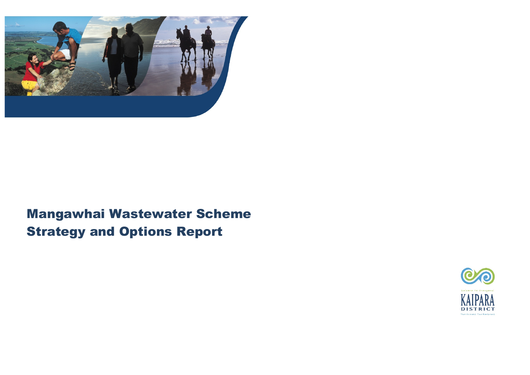

# Mangawhai Wastewater Scheme Strategy and Options Report

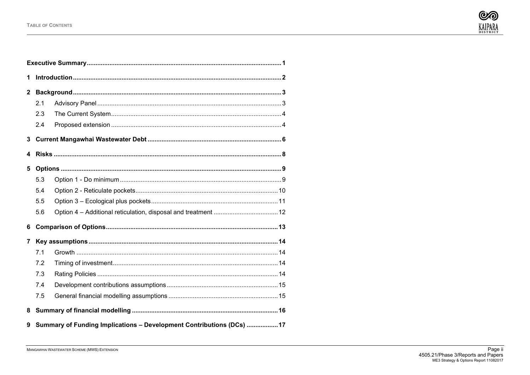

| 1              |     |                                                                       |  |  |  |  |  |  |  |  |  |
|----------------|-----|-----------------------------------------------------------------------|--|--|--|--|--|--|--|--|--|
| $\mathbf{2}$   |     |                                                                       |  |  |  |  |  |  |  |  |  |
|                | 2.1 |                                                                       |  |  |  |  |  |  |  |  |  |
|                | 2.3 |                                                                       |  |  |  |  |  |  |  |  |  |
|                | 2.4 |                                                                       |  |  |  |  |  |  |  |  |  |
| 3              |     |                                                                       |  |  |  |  |  |  |  |  |  |
| 4              |     |                                                                       |  |  |  |  |  |  |  |  |  |
| 5              |     |                                                                       |  |  |  |  |  |  |  |  |  |
|                | 5.3 |                                                                       |  |  |  |  |  |  |  |  |  |
|                | 5.4 |                                                                       |  |  |  |  |  |  |  |  |  |
|                | 5.5 |                                                                       |  |  |  |  |  |  |  |  |  |
|                | 5.6 |                                                                       |  |  |  |  |  |  |  |  |  |
| 6              |     |                                                                       |  |  |  |  |  |  |  |  |  |
| $\overline{7}$ |     |                                                                       |  |  |  |  |  |  |  |  |  |
|                | 7.1 |                                                                       |  |  |  |  |  |  |  |  |  |
|                | 7.2 |                                                                       |  |  |  |  |  |  |  |  |  |
|                | 7.3 |                                                                       |  |  |  |  |  |  |  |  |  |
|                | 7.4 |                                                                       |  |  |  |  |  |  |  |  |  |
|                | 7.5 |                                                                       |  |  |  |  |  |  |  |  |  |
| 8              |     |                                                                       |  |  |  |  |  |  |  |  |  |
| 9              |     | Summary of Funding Implications - Development Contributions (DCs)  17 |  |  |  |  |  |  |  |  |  |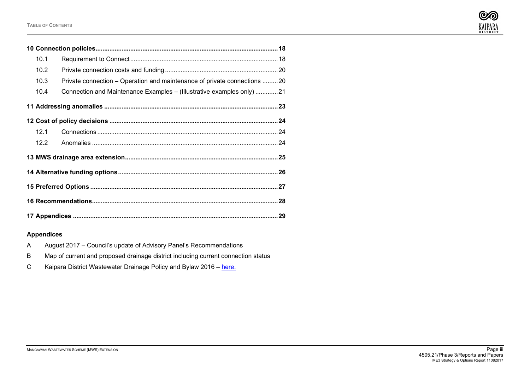

| 10.1                                                                             |  |  |  |  |  |  |  |  |  |  |
|----------------------------------------------------------------------------------|--|--|--|--|--|--|--|--|--|--|
| 10.2                                                                             |  |  |  |  |  |  |  |  |  |  |
| Private connection – Operation and maintenance of private connections 20<br>10.3 |  |  |  |  |  |  |  |  |  |  |
| Connection and Maintenance Examples - (Illustrative examples only) 21<br>10.4    |  |  |  |  |  |  |  |  |  |  |
|                                                                                  |  |  |  |  |  |  |  |  |  |  |
|                                                                                  |  |  |  |  |  |  |  |  |  |  |
| 12.1                                                                             |  |  |  |  |  |  |  |  |  |  |
| 12.2                                                                             |  |  |  |  |  |  |  |  |  |  |
|                                                                                  |  |  |  |  |  |  |  |  |  |  |
|                                                                                  |  |  |  |  |  |  |  |  |  |  |
|                                                                                  |  |  |  |  |  |  |  |  |  |  |
|                                                                                  |  |  |  |  |  |  |  |  |  |  |
|                                                                                  |  |  |  |  |  |  |  |  |  |  |

# **Appendices**

- A August 2017 Council's update of Advisory Panel's Recommendations
- B Map of current and proposed drainage district including current connection status
- C Kaipara District Wastewater Drainage Policy and Bylaw 2016 [here.](http://www.kaipara.govt.nz/site/kaiparadistrictcouncil/files/pdf/A-Z%20Documents/Bylaws/WWD%20Policy%20and%20Bylaw%20Adopted%20Sept%202016%20final.pdf)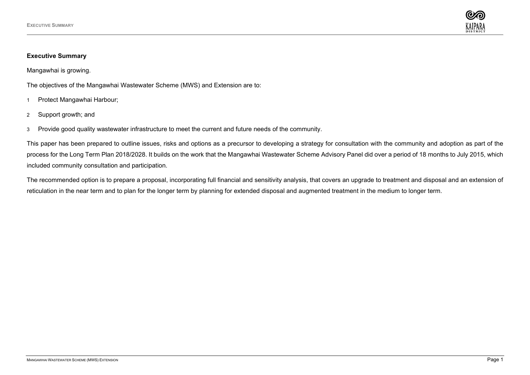

## <span id="page-3-0"></span>**Executive Summary**

Mangawhai is growing.

The objectives of the Mangawhai Wastewater Scheme (MWS) and Extension are to:

- 1 Protect Mangawhai Harbour;
- 2 Support growth; and
- 3 Provide good quality wastewater infrastructure to meet the current and future needs of the community.

This paper has been prepared to outline issues, risks and options as a precursor to developing a strategy for consultation with the community and adoption as part of the process for the Long Term Plan 2018/2028. It builds on the work that the Mangawhai Wastewater Scheme Advisory Panel did over a period of 18 months to July 2015, which included community consultation and participation.

The recommended option is to prepare a proposal, incorporating full financial and sensitivity analysis, that covers an upgrade to treatment and disposal and an extension of reticulation in the near term and to plan for the longer term by planning for extended disposal and augmented treatment in the medium to longer term.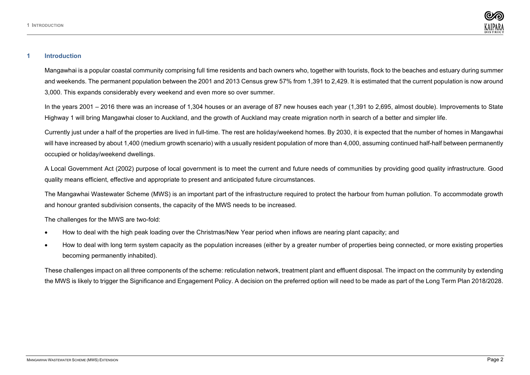

#### <span id="page-4-0"></span>**1 Introduction**

Mangawhai is a popular coastal community comprising full time residents and bach owners who, together with tourists, flock to the beaches and estuary during summer and weekends. The permanent population between the 2001 and 2013 Census grew 57% from 1,391 to 2,429. It is estimated that the current population is now around 3,000. This expands considerably every weekend and even more so over summer.

In the years 2001 – 2016 there was an increase of 1,304 houses or an average of 87 new houses each year (1,391 to 2,695, almost double). Improvements to State Highway 1 will bring Mangawhai closer to Auckland, and the growth of Auckland may create migration north in search of a better and simpler life.

Currently just under a half of the properties are lived in full-time. The rest are holiday/weekend homes. By 2030, it is expected that the number of homes in Mangawhai will have increased by about 1,400 (medium growth scenario) with a usually resident population of more than 4,000, assuming continued half-half between permanently occupied or holiday/weekend dwellings.

A Local Government Act (2002) purpose of local government is to meet the current and future needs of communities by providing good quality infrastructure. Good quality means efficient, effective and appropriate to present and anticipated future circumstances.

The Mangawhai Wastewater Scheme (MWS) is an important part of the infrastructure required to protect the harbour from human pollution. To accommodate growth and honour granted subdivision consents, the capacity of the MWS needs to be increased.

The challenges for the MWS are two-fold:

- How to deal with the high peak loading over the Christmas/New Year period when inflows are nearing plant capacity; and
- How to deal with long term system capacity as the population increases (either by a greater number of properties being connected, or more existing properties becoming permanently inhabited).

These challenges impact on all three components of the scheme: reticulation network, treatment plant and effluent disposal. The impact on the community by extending the MWS is likely to trigger the Significance and Engagement Policy. A decision on the preferred option will need to be made as part of the Long Term Plan 2018/2028.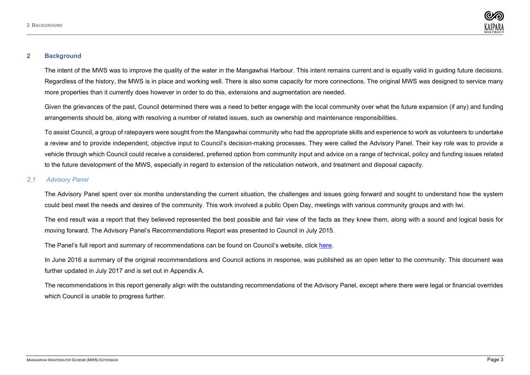

#### <span id="page-5-0"></span>**2 Background**

The intent of the MWS was to improve the quality of the water in the Mangawhai Harbour. This intent remains current and is equally valid in guiding future decisions. Regardless of the history, the MWS is in place and working well. There is also some capacity for more connections. The original MWS was designed to service many more properties than it currently does however in order to do this, extensions and augmentation are needed.

Given the grievances of the past, Council determined there was a need to better engage with the local community over what the future expansion (if any) and funding arrangements should be, along with resolving a number of related issues, such as ownership and maintenance responsibilities.

To assist Council, a group of ratepayers were sought from the Mangawhai community who had the appropriate skills and experience to work as volunteers to undertake a review and to provide independent, objective input to Council's decision-making processes. They were called the Advisory Panel. Their key role was to provide a vehicle through which Council could receive a considered, preferred option from community input and advice on a range of technical, policy and funding issues related to the future development of the MWS, especially in regard to extension of the reticulation network, and treatment and disposal capacity.

### <span id="page-5-1"></span>*2.1 Advisory Panel*

The Advisory Panel spent over six months understanding the current situation, the challenges and issues going forward and sought to understand how the system could best meet the needs and desires of the community. This work involved a public Open Day, meetings with various community groups and with Iwi.

The end result was a report that they believed represented the best possible and fair view of the facts as they knew them, along with a sound and logical basis for moving forward. The Advisory Panel's Recommendations Report was presented to Council in July 2015.

The Panel's full report and summary of recommendations can be found on Council's website, click [here.](http://www.kaipara.govt.nz/site/kaiparadistrictcouncil/files/MCWWS%20pages/A-Z%20of%20documents/MCWWS%20Community%20Advisory%20Panel%20Final%20Report%20July%202015.pdf)

In June 2016 a summary of the original recommendations and Council actions in response, was published as an open letter to the community. This document was further updated in July 2017 and is set out in Appendix A.

The recommendations in this report generally align with the outstanding recommendations of the Advisory Panel, except where there were legal or financial overrides which Council is unable to progress further.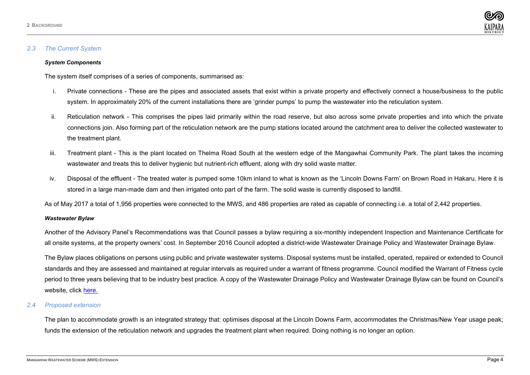

#### <span id="page-6-0"></span>*2.3 The Current System*

#### *System Components*

The system itself comprises of a series of components, summarised as:

- i. Private connections These are the pipes and associated assets that exist within a private property and effectively connect a house/business to the public system. In approximately 20% of the current installations there are 'grinder pumps' to pump the wastewater into the reticulation system.
- ii. Reticulation network This comprises the pipes laid primarily within the road reserve, but also across some private properties and into which the private connections join. Also forming part of the reticulation network are the pump stations located around the catchment area to deliver the collected wastewater to the treatment plant.
- iii. Treatment plant This is the plant located on Thelma Road South at the western edge of the Mangawhai Community Park. The plant takes the incoming wastewater and treats this to deliver hygienic but nutrient-rich effluent, along with dry solid waste matter.
- iv. Disposal of the effluent The treated water is pumped some 10km inland to what is known as the 'Lincoln Downs Farm' on Brown Road in Hakaru. Here it is stored in a large man-made dam and then irrigated onto part of the farm. The solid waste is currently disposed to landfill.

As of May 2017 a total of 1,956 properties were connected to the MWS, and 486 properties are rated as capable of connecting i.e. a total of 2,442 properties.

#### *Wastewater Bylaw*

Another of the Advisory Panel's Recommendations was that Council passes a bylaw requiring a six-monthly independent Inspection and Maintenance Certificate for all onsite systems, at the property owners' cost. In September 2016 Council adopted a district-wide Wastewater Drainage Policy and Wastewater Drainage Bylaw.

The Bylaw places obligations on persons using public and private wastewater systems. Disposal systems must be installed, operated, repaired or extended to Council standards and they are assessed and maintained at regular intervals as required under a warrant of fitness programme. Council modified the Warrant of Fitness cycle period to three years believing that to be industry best practice. A copy of the Wastewater Drainage Policy and Wastewater Drainage Bylaw can be found on Council's website, click [here.](http://www.kaipara.govt.nz/site/kaiparadistrictcouncil/files/pdf/A-Z%20Documents/Bylaws/WWD%20Policy%20and%20Bylaw%20Adopted%20Sept%202016%20final.pdf)

#### <span id="page-6-1"></span>*2.4 Proposed extension*

The plan to accommodate growth is an integrated strategy that: optimises disposal at the Lincoln Downs Farm, accommodates the Christmas/New Year usage peak; funds the extension of the reticulation network and upgrades the treatment plant when required. Doing nothing is no longer an option.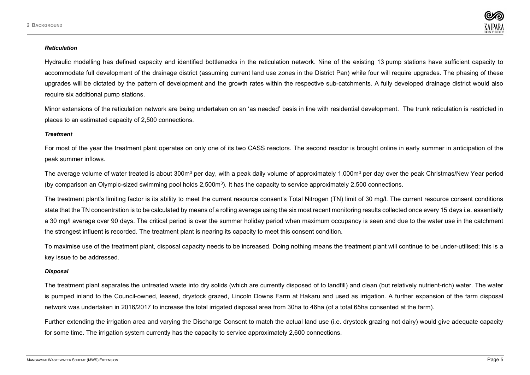

#### *Reticulation*

Hydraulic modelling has defined capacity and identified bottlenecks in the reticulation network. Nine of the existing 13 pump stations have sufficient capacity to accommodate full development of the drainage district (assuming current land use zones in the District Pan) while four will require upgrades. The phasing of these upgrades will be dictated by the pattern of development and the growth rates within the respective sub-catchments. A fully developed drainage district would also require six additional pump stations.

Minor extensions of the reticulation network are being undertaken on an 'as needed' basis in line with residential development. The trunk reticulation is restricted in places to an estimated capacity of 2,500 connections.

#### *Treatment*

For most of the year the treatment plant operates on only one of its two CASS reactors. The second reactor is brought online in early summer in anticipation of the peak summer inflows.

The average volume of water treated is about 300m<sup>3</sup> per day, with a peak daily volume of approximately 1,000m<sup>3</sup> per day over the peak Christmas/New Year period (by comparison an Olympic-sized swimming pool holds 2,500m3). It has the capacity to service approximately 2,500 connections.

The treatment plant's limiting factor is its ability to meet the current resource consent's Total Nitrogen (TN) limit of 30 mg/l. The current resource consent conditions state that the TN concentration is to be calculated by means of a rolling average using the six most recent monitoring results collected once every 15 days i.e. essentially a 30 mg/l average over 90 days. The critical period is over the summer holiday period when maximum occupancy is seen and due to the water use in the catchment the strongest influent is recorded. The treatment plant is nearing its capacity to meet this consent condition.

To maximise use of the treatment plant, disposal capacity needs to be increased. Doing nothing means the treatment plant will continue to be under-utilised; this is a key issue to be addressed.

#### *Disposal*

The treatment plant separates the untreated waste into dry solids (which are currently disposed of to landfill) and clean (but relatively nutrient-rich) water. The water is pumped inland to the Council-owned, leased, drystock grazed, Lincoln Downs Farm at Hakaru and used as irrigation. A further expansion of the farm disposal network was undertaken in 2016/2017 to increase the total irrigated disposal area from 30ha to 46ha (of a total 65ha consented at the farm).

Further extending the irrigation area and varying the Discharge Consent to match the actual land use (i.e. drystock grazing not dairy) would give adequate capacity for some time. The irrigation system currently has the capacity to service approximately 2,600 connections.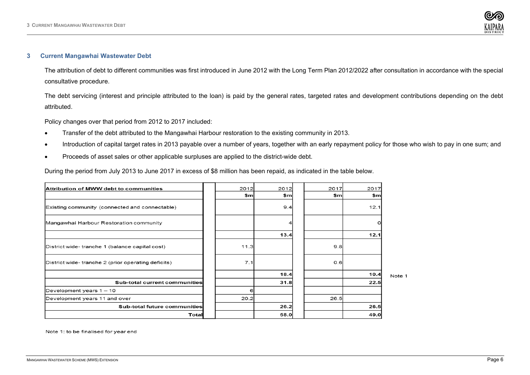

#### <span id="page-8-0"></span>**3 Current Mangawhai Wastewater Debt**

The attribution of debt to different communities was first introduced in June 2012 with the Long Term Plan 2012/2022 after consultation in accordance with the special consultative procedure.

The debt servicing (interest and principle attributed to the loan) is paid by the general rates, targeted rates and development contributions depending on the debt attributed.

Policy changes over that period from 2012 to 2017 included:

- Transfer of the debt attributed to the Mangawhai Harbour restoration to the existing community in 2013.
- Introduction of capital target rates in 2013 payable over a number of years, together with an early repayment policy for those who wish to pay in one sum; and
- Proceeds of asset sales or other applicable surpluses are applied to the district-wide debt.

During the period from July 2013 to June 2017 in excess of \$8 million has been repaid, as indicated in the table below.

| <b>Attribution of MWW debt to communities</b>      | 2012 | 2012 | 2017 | 2017 |      |
|----------------------------------------------------|------|------|------|------|------|
|                                                    | \$m  | \$m  | \$m  | \$m  |      |
| Existing community (connected and connectable)     |      | 9.4  |      | 12.1 |      |
| Mangawhai Harbour Restoration community            |      |      |      | ο    |      |
|                                                    |      | 13.4 |      | 12.1 |      |
| District wide-tranche 1 (balance capital cost)     | 11.3 |      | 9.8  |      |      |
| District wide-tranche 2 (prior operating deficits) | 7.1  |      | 0.6  |      |      |
|                                                    |      | 18.4 |      | 10.4 | Note |
| Sub-total current communities                      |      | 31.8 |      | 22.5 |      |
| Development years $1 - 10$                         | 61   |      |      |      |      |
| Development years 11 and over                      | 20.2 |      | 26.5 |      |      |
| Sub-total future communities                       |      | 26.2 |      | 26.5 |      |
| Total                                              |      | 58.0 |      | 49.0 |      |

Note 1: to be finalised for year end

 $\overline{1}$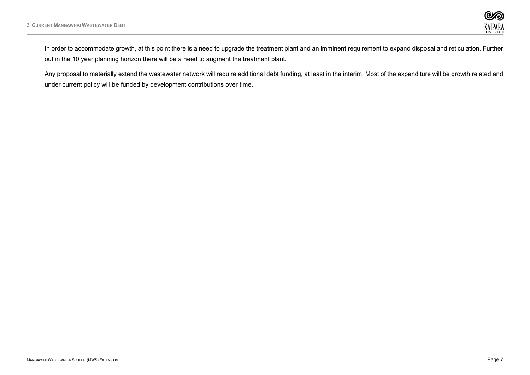

In order to accommodate growth, at this point there is a need to upgrade the treatment plant and an imminent requirement to expand disposal and reticulation. Further out in the 10 year planning horizon there will be a need to augment the treatment plant.

Any proposal to materially extend the wastewater network will require additional debt funding, at least in the interim. Most of the expenditure will be growth related and under current policy will be funded by development contributions over time.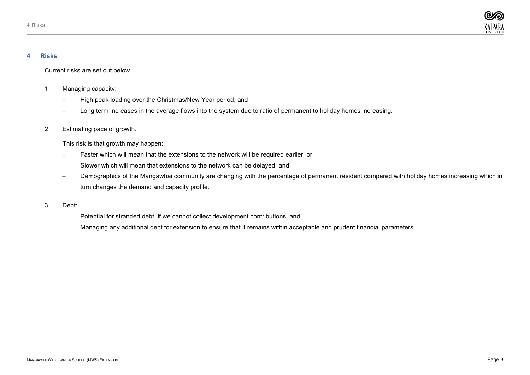

#### <span id="page-10-0"></span>**4 Risks**

Current risks are set out below.

- 1 Managing capacity:
	- High peak loading over the Christmas/New Year period; and
	- Long term increases in the average flows into the system due to ratio of permanent to holiday homes increasing.
- 2 Estimating pace of growth.

This risk is that growth may happen:

- Faster which will mean that the extensions to the network will be required earlier; or
- Slower which will mean that extensions to the network can be delayed; and
- Demographics of the Mangawhai community are changing with the percentage of permanent resident compared with holiday homes increasing which in turn changes the demand and capacity profile.
- 3 Debt:
	- Potential for stranded debt, if we cannot collect development contributions; and
	- Managing any additional debt for extension to ensure that it remains within acceptable and prudent financial parameters.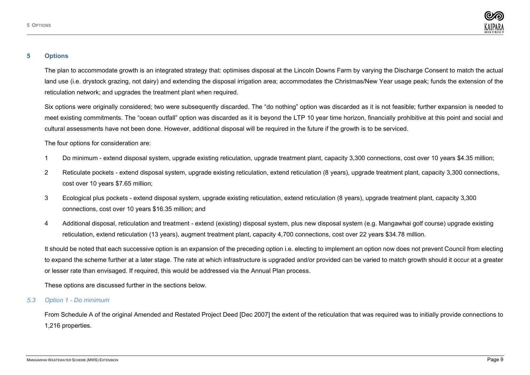

#### <span id="page-11-0"></span>**5 Options**

The plan to accommodate growth is an integrated strategy that: optimises disposal at the Lincoln Downs Farm by varying the Discharge Consent to match the actual land use (i.e. drystock grazing, not dairy) and extending the disposal irrigation area; accommodates the Christmas/New Year usage peak; funds the extension of the reticulation network; and upgrades the treatment plant when required.

Six options were originally considered; two were subsequently discarded. The "do nothing" option was discarded as it is not feasible; further expansion is needed to meet existing commitments. The "ocean outfall" option was discarded as it is beyond the LTP 10 year time horizon, financially prohibitive at this point and social and cultural assessments have not been done. However, additional disposal will be required in the future if the growth is to be serviced.

The four options for consideration are:

- 1 Do minimum extend disposal system, upgrade existing reticulation, upgrade treatment plant, capacity 3,300 connections, cost over 10 years \$4.35 million;
- 2 Reticulate pockets extend disposal system, upgrade existing reticulation, extend reticulation (8 years), upgrade treatment plant, capacity 3,300 connections, cost over 10 years \$7.65 million;
- 3 Ecological plus pockets extend disposal system, upgrade existing reticulation, extend reticulation (8 years), upgrade treatment plant, capacity 3,300 connections, cost over 10 years \$16.35 million; and
- 4 Additional disposal, reticulation and treatment extend (existing) disposal system, plus new disposal system (e.g. Mangawhai golf course) upgrade existing reticulation, extend reticulation (13 years), augment treatment plant, capacity 4,700 connections, cost over 22 years \$34.78 million.

It should be noted that each successive option is an expansion of the preceding option i.e. electing to implement an option now does not prevent Council from electing to expand the scheme further at a later stage. The rate at which infrastructure is upgraded and/or provided can be varied to match growth should it occur at a greater or lesser rate than envisaged. If required, this would be addressed via the Annual Plan process.

These options are discussed further in the sections below.

# <span id="page-11-1"></span>*5.3 Option 1 - Do minimum*

From Schedule A of the original Amended and Restated Project Deed [Dec 2007] the extent of the reticulation that was required was to initially provide connections to 1,216 properties.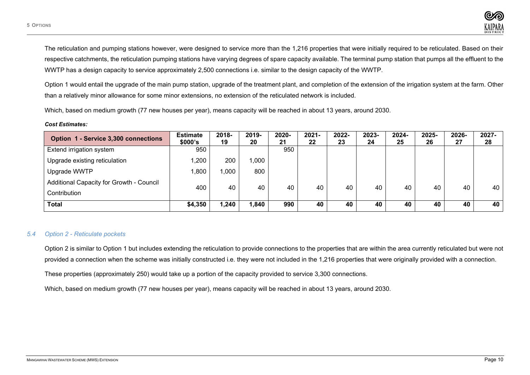The reticulation and pumping stations however, were designed to service more than the 1,216 properties that were initially required to be reticulated. Based on their respective catchments, the reticulation pumping stations have varying degrees of spare capacity available. The terminal pump station that pumps all the effluent to the WWTP has a design capacity to service approximately 2,500 connections i.e. similar to the design capacity of the WWTP.

Option 1 would entail the upgrade of the main pump station, upgrade of the treatment plant, and completion of the extension of the irrigation system at the farm. Other than a relatively minor allowance for some minor extensions, no extension of the reticulated network is included.

Which, based on medium growth (77 new houses per year), means capacity will be reached in about 13 years, around 2030.

#### *Cost Estimates:*

| Option 1 - Service 3,300 connections     | <b>Estimate</b><br>\$000's | 2018-<br>19 | 2019-<br>20 | 2020-<br>21 | 2021-<br>22 | 2022-<br>23 | 2023-<br>24 | 2024-<br>25 | 2025-<br>26 | 2026-<br>27 | 2027-<br>28 |
|------------------------------------------|----------------------------|-------------|-------------|-------------|-------------|-------------|-------------|-------------|-------------|-------------|-------------|
| Extend irrigation system                 | 950                        |             |             | 950         |             |             |             |             |             |             |             |
| Upgrade existing reticulation            | ,200                       | 200         | 000,1       |             |             |             |             |             |             |             |             |
| Upgrade WWTP                             | <b>008,</b>                | 1,000       | 800         |             |             |             |             |             |             |             |             |
| Additional Capacity for Growth - Council | 400                        | 40          | 40          | 40          | 40          | 40          | 40          | 40          | 40          | 40          | 40          |
| Contribution                             |                            |             |             |             |             |             |             |             |             |             |             |
| <b>Total</b>                             | \$4,350                    | 1,240       | 1,840       | 990         | 40          | 40          | 40          | 40          | 40          | 40          | 40          |

# <span id="page-12-0"></span>*5.4 Option 2 - Reticulate pockets*

Option 2 is similar to Option 1 but includes extending the reticulation to provide connections to the properties that are within the area currently reticulated but were not provided a connection when the scheme was initially constructed i.e. they were not included in the 1,216 properties that were originally provided with a connection.

These properties (approximately 250) would take up a portion of the capacity provided to service 3,300 connections.

Which, based on medium growth (77 new houses per year), means capacity will be reached in about 13 years, around 2030.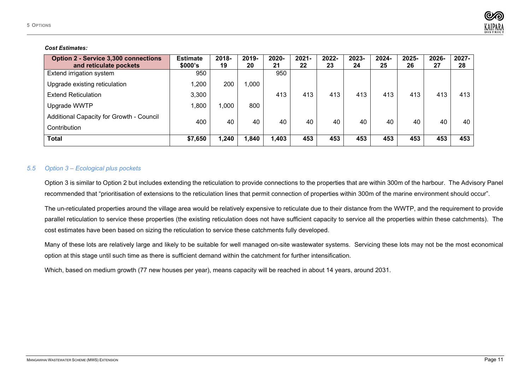

#### *Cost Estimates:*

| <b>Option 2 - Service 3,300 connections</b><br>and reticulate pockets | <b>Estimate</b><br>\$000's | 2018-<br>19 | 2019-<br>20 | 2020-<br>21 | $2021 -$<br>22 | 2022-<br>23 | 2023-<br>24 | 2024-<br>25 | 2025-<br>26 | 2026-<br>27 | 2027-<br>28 |
|-----------------------------------------------------------------------|----------------------------|-------------|-------------|-------------|----------------|-------------|-------------|-------------|-------------|-------------|-------------|
| Extend irrigation system                                              | 950                        |             |             | 950         |                |             |             |             |             |             |             |
| Upgrade existing reticulation                                         | 1,200                      | 200         | ,000        |             |                |             |             |             |             |             |             |
| <b>Extend Reticulation</b>                                            | 3,300                      |             |             | 413         | 413            | 413         | 413         | 413         | 413         | 413         | 413         |
| Upgrade WWTP                                                          | 1,800                      | ,000        | 800         |             |                |             |             |             |             |             |             |
| Additional Capacity for Growth - Council                              | 400                        | 40          | 40          | 40          | 40             | 40          | 40          | 40          | 40          | 40          | 40          |
| Contribution                                                          |                            |             |             |             |                |             |             |             |             |             |             |
| <b>Total</b>                                                          | \$7,650                    | 1,240       | 1,840       | 1,403       | 453            | 453         | 453         | 453         | 453         | 453         | 453         |

#### <span id="page-13-0"></span>*5.5 Option 3 – Ecological plus pockets*

Option 3 is similar to Option 2 but includes extending the reticulation to provide connections to the properties that are within 300m of the harbour. The Advisory Panel recommended that "prioritisation of extensions to the reticulation lines that permit connection of properties within 300m of the marine environment should occur".

The un-reticulated properties around the village area would be relatively expensive to reticulate due to their distance from the WWTP, and the requirement to provide parallel reticulation to service these properties (the existing reticulation does not have sufficient capacity to service all the properties within these catchments). The cost estimates have been based on sizing the reticulation to service these catchments fully developed.

Many of these lots are relatively large and likely to be suitable for well managed on-site wastewater systems. Servicing these lots may not be the most economical option at this stage until such time as there is sufficient demand within the catchment for further intensification.

Which, based on medium growth (77 new houses per year), means capacity will be reached in about 14 years, around 2031.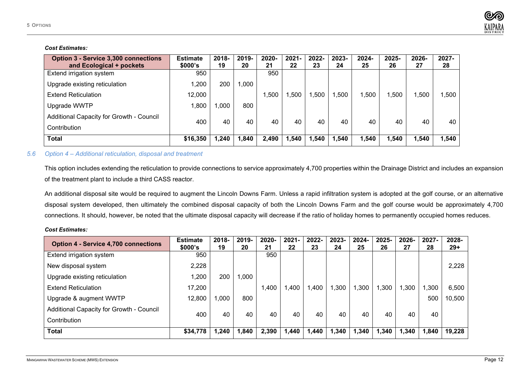

#### *Cost Estimates:*

| <b>Option 3 - Service 3,300 connections</b><br>and Ecological + pockets | <b>Estimate</b><br>\$000's | 2018-<br>19 | 2019-<br>20 | 2020-<br>21 | $2021 -$<br>22 | 2022-<br>23 | $2023 -$<br>24 | 2024-<br>25 | 2025-<br>26 | 2026-<br>27 | 2027-<br>28 |
|-------------------------------------------------------------------------|----------------------------|-------------|-------------|-------------|----------------|-------------|----------------|-------------|-------------|-------------|-------------|
| Extend irrigation system                                                | 950                        |             |             | 950         |                |             |                |             |             |             |             |
| Upgrade existing reticulation                                           | 1,200                      | 200         | 000,        |             |                |             |                |             |             |             |             |
| <b>Extend Reticulation</b>                                              | 12,000                     |             |             | ,500        | .500           | 1,500       | .500           | .500        | .500        | .500        | .500 ا      |
| Upgrade WWTP                                                            | 1,800                      | 000.        | 800         |             |                |             |                |             |             |             |             |
| Additional Capacity for Growth - Council                                | 400                        | 40          | 40          | 40          | 40             |             |                | 40          | 40          | 40          | 40          |
| Contribution                                                            |                            |             |             |             |                | 40          | 40             |             |             |             |             |
| <b>Total</b>                                                            | \$16,350                   | 240,ا       | 1,840       | 2,490       | 1,540          | ,540        | 1,540          | 1,540       | 1,540       | 1,540       | 1,540       |

## <span id="page-14-0"></span>*5.6 Option 4 – Additional reticulation, disposal and treatment*

This option includes extending the reticulation to provide connections to service approximately 4,700 properties within the Drainage District and includes an expansion of the treatment plant to include a third CASS reactor.

An additional disposal site would be required to augment the Lincoln Downs Farm. Unless a rapid infiltration system is adopted at the golf course, or an alternative disposal system developed, then ultimately the combined disposal capacity of both the Lincoln Downs Farm and the golf course would be approximately 4,700 connections. It should, however, be noted that the ultimate disposal capacity will decrease if the ratio of holiday homes to permanently occupied homes reduces.

#### *Cost Estimates:*

| <b>Option 4 - Service 4,700 connections</b> | <b>Estimate</b><br>\$000's | $2018 -$<br>19 | 2019-<br>20 | 2020-<br>21 | $2021 -$<br>22 | $2022 -$<br>23 | 2023-<br>24 | 2024-<br>25 | 2025-<br>26 | 2026-<br>27 | $2027 -$<br>28 | 2028-<br>$29+$ |
|---------------------------------------------|----------------------------|----------------|-------------|-------------|----------------|----------------|-------------|-------------|-------------|-------------|----------------|----------------|
| Extend irrigation system                    | 950                        |                |             | 950         |                |                |             |             |             |             |                |                |
| New disposal system                         | 2,228                      |                |             |             |                |                |             |             |             |             |                | 2,228          |
| Upgrade existing reticulation               | 1,200                      | 200            | ,000        |             |                |                |             |             |             |             |                |                |
| <b>Extend Reticulation</b>                  | 17,200                     |                |             | ,400        | ,400           | ,400           | ,300        | ,300        | ,300        | ,300        | ,300           | 6,500          |
| Upgrade & augment WWTP                      | 12,800                     | ,000           | 800         |             |                |                |             |             |             |             | 500            | 10,500         |
| Additional Capacity for Growth - Council    | 400                        |                |             |             |                | 40             | 40          | 40          | 40          | 40          | 40             |                |
| Contribution                                |                            | 40             | 40          | 40          | 40             |                |             |             |             |             |                |                |
| <b>Total</b>                                | \$34,778                   | 1.240          | l.840       | 2,390       | ,440           | 1,440          | 1,340       | 1,340       | 1,340       | 1,340       | 1,840          | 19,228         |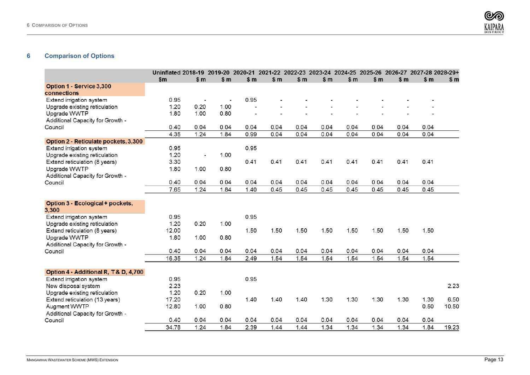

# <span id="page-15-0"></span>**Comparison of Options**

| \$m<br>\$m<br>$\mathsf{sm}$<br>\$m<br>\$m<br>\$m<br>\$m<br>\$m<br>\$m<br>\$m<br>\$m<br>\$m<br>Option 1 - Service 3,300<br>connections<br>0.95<br>0.95<br>Extend irrigation system<br>$\overline{\phantom{a}}$<br>0.20<br>1.20<br>1.00<br>Upgrade existing reticulation<br>1.00<br>0.80<br>Upgrade WWTP<br>1.80<br>Additional Capacity for Growth -<br>0.04<br>Council<br>0.40<br>0.04<br>0.04<br>0.04<br>0.04<br>0.04<br>0.04<br>0.04<br>0.04<br>0.04<br>4.35<br>1.24<br>1.84<br>0.99<br>0.04<br>0.04<br>0.04<br>0.04<br>0.04<br>0.04<br>0.04<br>Option 2 - Reticulate pockets, 3,300<br>0.95<br>0.95<br>Extend irrigation system<br>Upgrade existing reticulation<br>1.20<br>1.00<br>$\overline{\phantom{m}}$<br>0.41<br>0.41<br>0.41<br>3.30<br>0.41<br>0.41<br>0.41<br>0.41<br>0.41<br>Extend reticulation (8 years)<br>Upgrade WWTP<br>1.00<br>1.80<br>0.80<br>Additional Capacity for Growth -<br>0.04<br>0.04<br>0.40<br>0.04<br>0.04<br>0.04<br>0.04<br>0.04<br>0.04<br>0.04<br>0.04<br>Council<br>7.65<br>1.40<br>0.45<br>0.45<br>0.45<br>0.45<br>0.45<br>1.24<br>1.84<br>0.45<br>0.45<br>Option 3 - Ecological + pockets,<br>3,300<br>0.95<br>Extend irrigation system<br>0.95<br>1.20<br>0.20<br>Upgrade existing reticulation<br>1.00<br>1.50<br>1.50<br>1.50<br>1.50<br>12.00<br>1.50<br>1.50<br>1.50<br>1.50<br>Extend reticulation (8 years)<br>Upgrade WWTP<br>1.00<br>1.80<br>0.80<br>Additional Capacity for Growth -<br>0.40<br>0.04<br>0.04<br>0.04<br>0.04<br>0.04<br>0.04<br>0.04<br>0.04<br>0.04<br>0.04<br>Council<br>16.35<br>1.54<br>1.54<br>1.54<br>1.24<br>1.84<br>2.49<br>1.54<br>1.54<br>1.54<br>1.54<br>Option 4 - Additional R, T& D, 4,700<br>0.95<br>Extend irrigation system<br>0.95<br>2.23<br>2.23<br>New disposal system<br>Upgrade existing reticulation<br>1.20<br>0.20<br>1.00<br>1.40<br>1.40<br>1.30<br>1.30<br>1.30<br>6.50<br>17.20<br>1.40<br>1.30<br>Extend reticulation (13 years)<br>1.30<br>Augment WWTP<br>12.80<br>1.00<br>0.80<br>0.50<br>10.50<br>Additional Capacity for Growth -<br>0.40<br>0.04<br>0.04<br>0.04<br>0.04<br>0.04<br>0.04<br>0.04<br>0.04<br>0.04<br>0.04<br>Council<br>34.78<br>1.24<br>2.39<br>1.44<br>1.44<br>1.34<br>1.34<br>1.34<br>1.84<br>1.34<br>1.84<br>19.23 | Uninflated 2018-19 2019-20 2020-21 2021-22 2022-23 2023-24 2024-25 2025-26 2026-27 2027-28 2028-29+ |  |  |  |  |  |  |
|----------------------------------------------------------------------------------------------------------------------------------------------------------------------------------------------------------------------------------------------------------------------------------------------------------------------------------------------------------------------------------------------------------------------------------------------------------------------------------------------------------------------------------------------------------------------------------------------------------------------------------------------------------------------------------------------------------------------------------------------------------------------------------------------------------------------------------------------------------------------------------------------------------------------------------------------------------------------------------------------------------------------------------------------------------------------------------------------------------------------------------------------------------------------------------------------------------------------------------------------------------------------------------------------------------------------------------------------------------------------------------------------------------------------------------------------------------------------------------------------------------------------------------------------------------------------------------------------------------------------------------------------------------------------------------------------------------------------------------------------------------------------------------------------------------------------------------------------------------------------------------------------------------------------------------------------------------------------------------------------------------------------------------------------------------------------------------------------------------------------------------------------------------------------------------------------------------------------------------------------|-----------------------------------------------------------------------------------------------------|--|--|--|--|--|--|
|                                                                                                                                                                                                                                                                                                                                                                                                                                                                                                                                                                                                                                                                                                                                                                                                                                                                                                                                                                                                                                                                                                                                                                                                                                                                                                                                                                                                                                                                                                                                                                                                                                                                                                                                                                                                                                                                                                                                                                                                                                                                                                                                                                                                                                              |                                                                                                     |  |  |  |  |  |  |
|                                                                                                                                                                                                                                                                                                                                                                                                                                                                                                                                                                                                                                                                                                                                                                                                                                                                                                                                                                                                                                                                                                                                                                                                                                                                                                                                                                                                                                                                                                                                                                                                                                                                                                                                                                                                                                                                                                                                                                                                                                                                                                                                                                                                                                              |                                                                                                     |  |  |  |  |  |  |
|                                                                                                                                                                                                                                                                                                                                                                                                                                                                                                                                                                                                                                                                                                                                                                                                                                                                                                                                                                                                                                                                                                                                                                                                                                                                                                                                                                                                                                                                                                                                                                                                                                                                                                                                                                                                                                                                                                                                                                                                                                                                                                                                                                                                                                              |                                                                                                     |  |  |  |  |  |  |
|                                                                                                                                                                                                                                                                                                                                                                                                                                                                                                                                                                                                                                                                                                                                                                                                                                                                                                                                                                                                                                                                                                                                                                                                                                                                                                                                                                                                                                                                                                                                                                                                                                                                                                                                                                                                                                                                                                                                                                                                                                                                                                                                                                                                                                              |                                                                                                     |  |  |  |  |  |  |
|                                                                                                                                                                                                                                                                                                                                                                                                                                                                                                                                                                                                                                                                                                                                                                                                                                                                                                                                                                                                                                                                                                                                                                                                                                                                                                                                                                                                                                                                                                                                                                                                                                                                                                                                                                                                                                                                                                                                                                                                                                                                                                                                                                                                                                              |                                                                                                     |  |  |  |  |  |  |
|                                                                                                                                                                                                                                                                                                                                                                                                                                                                                                                                                                                                                                                                                                                                                                                                                                                                                                                                                                                                                                                                                                                                                                                                                                                                                                                                                                                                                                                                                                                                                                                                                                                                                                                                                                                                                                                                                                                                                                                                                                                                                                                                                                                                                                              |                                                                                                     |  |  |  |  |  |  |
|                                                                                                                                                                                                                                                                                                                                                                                                                                                                                                                                                                                                                                                                                                                                                                                                                                                                                                                                                                                                                                                                                                                                                                                                                                                                                                                                                                                                                                                                                                                                                                                                                                                                                                                                                                                                                                                                                                                                                                                                                                                                                                                                                                                                                                              |                                                                                                     |  |  |  |  |  |  |
|                                                                                                                                                                                                                                                                                                                                                                                                                                                                                                                                                                                                                                                                                                                                                                                                                                                                                                                                                                                                                                                                                                                                                                                                                                                                                                                                                                                                                                                                                                                                                                                                                                                                                                                                                                                                                                                                                                                                                                                                                                                                                                                                                                                                                                              |                                                                                                     |  |  |  |  |  |  |
|                                                                                                                                                                                                                                                                                                                                                                                                                                                                                                                                                                                                                                                                                                                                                                                                                                                                                                                                                                                                                                                                                                                                                                                                                                                                                                                                                                                                                                                                                                                                                                                                                                                                                                                                                                                                                                                                                                                                                                                                                                                                                                                                                                                                                                              |                                                                                                     |  |  |  |  |  |  |
|                                                                                                                                                                                                                                                                                                                                                                                                                                                                                                                                                                                                                                                                                                                                                                                                                                                                                                                                                                                                                                                                                                                                                                                                                                                                                                                                                                                                                                                                                                                                                                                                                                                                                                                                                                                                                                                                                                                                                                                                                                                                                                                                                                                                                                              |                                                                                                     |  |  |  |  |  |  |
|                                                                                                                                                                                                                                                                                                                                                                                                                                                                                                                                                                                                                                                                                                                                                                                                                                                                                                                                                                                                                                                                                                                                                                                                                                                                                                                                                                                                                                                                                                                                                                                                                                                                                                                                                                                                                                                                                                                                                                                                                                                                                                                                                                                                                                              |                                                                                                     |  |  |  |  |  |  |
|                                                                                                                                                                                                                                                                                                                                                                                                                                                                                                                                                                                                                                                                                                                                                                                                                                                                                                                                                                                                                                                                                                                                                                                                                                                                                                                                                                                                                                                                                                                                                                                                                                                                                                                                                                                                                                                                                                                                                                                                                                                                                                                                                                                                                                              |                                                                                                     |  |  |  |  |  |  |
|                                                                                                                                                                                                                                                                                                                                                                                                                                                                                                                                                                                                                                                                                                                                                                                                                                                                                                                                                                                                                                                                                                                                                                                                                                                                                                                                                                                                                                                                                                                                                                                                                                                                                                                                                                                                                                                                                                                                                                                                                                                                                                                                                                                                                                              |                                                                                                     |  |  |  |  |  |  |
|                                                                                                                                                                                                                                                                                                                                                                                                                                                                                                                                                                                                                                                                                                                                                                                                                                                                                                                                                                                                                                                                                                                                                                                                                                                                                                                                                                                                                                                                                                                                                                                                                                                                                                                                                                                                                                                                                                                                                                                                                                                                                                                                                                                                                                              |                                                                                                     |  |  |  |  |  |  |
|                                                                                                                                                                                                                                                                                                                                                                                                                                                                                                                                                                                                                                                                                                                                                                                                                                                                                                                                                                                                                                                                                                                                                                                                                                                                                                                                                                                                                                                                                                                                                                                                                                                                                                                                                                                                                                                                                                                                                                                                                                                                                                                                                                                                                                              |                                                                                                     |  |  |  |  |  |  |
|                                                                                                                                                                                                                                                                                                                                                                                                                                                                                                                                                                                                                                                                                                                                                                                                                                                                                                                                                                                                                                                                                                                                                                                                                                                                                                                                                                                                                                                                                                                                                                                                                                                                                                                                                                                                                                                                                                                                                                                                                                                                                                                                                                                                                                              |                                                                                                     |  |  |  |  |  |  |
|                                                                                                                                                                                                                                                                                                                                                                                                                                                                                                                                                                                                                                                                                                                                                                                                                                                                                                                                                                                                                                                                                                                                                                                                                                                                                                                                                                                                                                                                                                                                                                                                                                                                                                                                                                                                                                                                                                                                                                                                                                                                                                                                                                                                                                              |                                                                                                     |  |  |  |  |  |  |
|                                                                                                                                                                                                                                                                                                                                                                                                                                                                                                                                                                                                                                                                                                                                                                                                                                                                                                                                                                                                                                                                                                                                                                                                                                                                                                                                                                                                                                                                                                                                                                                                                                                                                                                                                                                                                                                                                                                                                                                                                                                                                                                                                                                                                                              |                                                                                                     |  |  |  |  |  |  |
|                                                                                                                                                                                                                                                                                                                                                                                                                                                                                                                                                                                                                                                                                                                                                                                                                                                                                                                                                                                                                                                                                                                                                                                                                                                                                                                                                                                                                                                                                                                                                                                                                                                                                                                                                                                                                                                                                                                                                                                                                                                                                                                                                                                                                                              |                                                                                                     |  |  |  |  |  |  |
|                                                                                                                                                                                                                                                                                                                                                                                                                                                                                                                                                                                                                                                                                                                                                                                                                                                                                                                                                                                                                                                                                                                                                                                                                                                                                                                                                                                                                                                                                                                                                                                                                                                                                                                                                                                                                                                                                                                                                                                                                                                                                                                                                                                                                                              |                                                                                                     |  |  |  |  |  |  |
|                                                                                                                                                                                                                                                                                                                                                                                                                                                                                                                                                                                                                                                                                                                                                                                                                                                                                                                                                                                                                                                                                                                                                                                                                                                                                                                                                                                                                                                                                                                                                                                                                                                                                                                                                                                                                                                                                                                                                                                                                                                                                                                                                                                                                                              |                                                                                                     |  |  |  |  |  |  |
|                                                                                                                                                                                                                                                                                                                                                                                                                                                                                                                                                                                                                                                                                                                                                                                                                                                                                                                                                                                                                                                                                                                                                                                                                                                                                                                                                                                                                                                                                                                                                                                                                                                                                                                                                                                                                                                                                                                                                                                                                                                                                                                                                                                                                                              |                                                                                                     |  |  |  |  |  |  |
|                                                                                                                                                                                                                                                                                                                                                                                                                                                                                                                                                                                                                                                                                                                                                                                                                                                                                                                                                                                                                                                                                                                                                                                                                                                                                                                                                                                                                                                                                                                                                                                                                                                                                                                                                                                                                                                                                                                                                                                                                                                                                                                                                                                                                                              |                                                                                                     |  |  |  |  |  |  |
|                                                                                                                                                                                                                                                                                                                                                                                                                                                                                                                                                                                                                                                                                                                                                                                                                                                                                                                                                                                                                                                                                                                                                                                                                                                                                                                                                                                                                                                                                                                                                                                                                                                                                                                                                                                                                                                                                                                                                                                                                                                                                                                                                                                                                                              |                                                                                                     |  |  |  |  |  |  |
|                                                                                                                                                                                                                                                                                                                                                                                                                                                                                                                                                                                                                                                                                                                                                                                                                                                                                                                                                                                                                                                                                                                                                                                                                                                                                                                                                                                                                                                                                                                                                                                                                                                                                                                                                                                                                                                                                                                                                                                                                                                                                                                                                                                                                                              |                                                                                                     |  |  |  |  |  |  |
|                                                                                                                                                                                                                                                                                                                                                                                                                                                                                                                                                                                                                                                                                                                                                                                                                                                                                                                                                                                                                                                                                                                                                                                                                                                                                                                                                                                                                                                                                                                                                                                                                                                                                                                                                                                                                                                                                                                                                                                                                                                                                                                                                                                                                                              |                                                                                                     |  |  |  |  |  |  |
|                                                                                                                                                                                                                                                                                                                                                                                                                                                                                                                                                                                                                                                                                                                                                                                                                                                                                                                                                                                                                                                                                                                                                                                                                                                                                                                                                                                                                                                                                                                                                                                                                                                                                                                                                                                                                                                                                                                                                                                                                                                                                                                                                                                                                                              |                                                                                                     |  |  |  |  |  |  |
|                                                                                                                                                                                                                                                                                                                                                                                                                                                                                                                                                                                                                                                                                                                                                                                                                                                                                                                                                                                                                                                                                                                                                                                                                                                                                                                                                                                                                                                                                                                                                                                                                                                                                                                                                                                                                                                                                                                                                                                                                                                                                                                                                                                                                                              |                                                                                                     |  |  |  |  |  |  |
|                                                                                                                                                                                                                                                                                                                                                                                                                                                                                                                                                                                                                                                                                                                                                                                                                                                                                                                                                                                                                                                                                                                                                                                                                                                                                                                                                                                                                                                                                                                                                                                                                                                                                                                                                                                                                                                                                                                                                                                                                                                                                                                                                                                                                                              |                                                                                                     |  |  |  |  |  |  |
|                                                                                                                                                                                                                                                                                                                                                                                                                                                                                                                                                                                                                                                                                                                                                                                                                                                                                                                                                                                                                                                                                                                                                                                                                                                                                                                                                                                                                                                                                                                                                                                                                                                                                                                                                                                                                                                                                                                                                                                                                                                                                                                                                                                                                                              |                                                                                                     |  |  |  |  |  |  |
|                                                                                                                                                                                                                                                                                                                                                                                                                                                                                                                                                                                                                                                                                                                                                                                                                                                                                                                                                                                                                                                                                                                                                                                                                                                                                                                                                                                                                                                                                                                                                                                                                                                                                                                                                                                                                                                                                                                                                                                                                                                                                                                                                                                                                                              |                                                                                                     |  |  |  |  |  |  |
|                                                                                                                                                                                                                                                                                                                                                                                                                                                                                                                                                                                                                                                                                                                                                                                                                                                                                                                                                                                                                                                                                                                                                                                                                                                                                                                                                                                                                                                                                                                                                                                                                                                                                                                                                                                                                                                                                                                                                                                                                                                                                                                                                                                                                                              |                                                                                                     |  |  |  |  |  |  |
|                                                                                                                                                                                                                                                                                                                                                                                                                                                                                                                                                                                                                                                                                                                                                                                                                                                                                                                                                                                                                                                                                                                                                                                                                                                                                                                                                                                                                                                                                                                                                                                                                                                                                                                                                                                                                                                                                                                                                                                                                                                                                                                                                                                                                                              |                                                                                                     |  |  |  |  |  |  |
|                                                                                                                                                                                                                                                                                                                                                                                                                                                                                                                                                                                                                                                                                                                                                                                                                                                                                                                                                                                                                                                                                                                                                                                                                                                                                                                                                                                                                                                                                                                                                                                                                                                                                                                                                                                                                                                                                                                                                                                                                                                                                                                                                                                                                                              |                                                                                                     |  |  |  |  |  |  |
|                                                                                                                                                                                                                                                                                                                                                                                                                                                                                                                                                                                                                                                                                                                                                                                                                                                                                                                                                                                                                                                                                                                                                                                                                                                                                                                                                                                                                                                                                                                                                                                                                                                                                                                                                                                                                                                                                                                                                                                                                                                                                                                                                                                                                                              |                                                                                                     |  |  |  |  |  |  |
|                                                                                                                                                                                                                                                                                                                                                                                                                                                                                                                                                                                                                                                                                                                                                                                                                                                                                                                                                                                                                                                                                                                                                                                                                                                                                                                                                                                                                                                                                                                                                                                                                                                                                                                                                                                                                                                                                                                                                                                                                                                                                                                                                                                                                                              |                                                                                                     |  |  |  |  |  |  |
|                                                                                                                                                                                                                                                                                                                                                                                                                                                                                                                                                                                                                                                                                                                                                                                                                                                                                                                                                                                                                                                                                                                                                                                                                                                                                                                                                                                                                                                                                                                                                                                                                                                                                                                                                                                                                                                                                                                                                                                                                                                                                                                                                                                                                                              |                                                                                                     |  |  |  |  |  |  |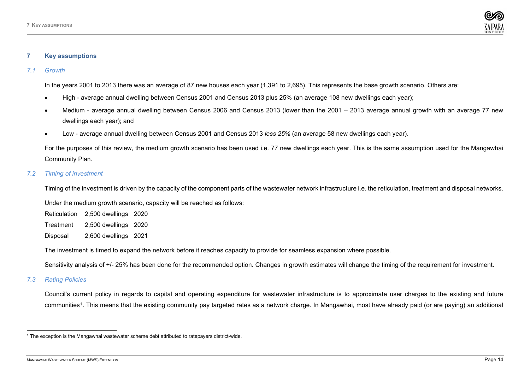<span id="page-16-4"></span>

### <span id="page-16-0"></span>**7 Key assumptions**

#### <span id="page-16-1"></span>*7.1 Growth*

In the years 2001 to 2013 there was an average of 87 new houses each year (1,391 to 2,695). This represents the base growth scenario. Others are:

- High average annual dwelling between Census 2001 and Census 2013 plus 25% (an average 108 new dwellings each year);
- Medium average annual dwelling between Census 2006 and Census 2013 (lower than the 2001 2013 average annual growth with an average 77 new dwellings each year); and
- Low average annual dwelling between Census 2001 and Census 2013 *less 25%* (an average 58 new dwellings each year).

For the purposes of this review, the medium growth scenario has been used i.e. 77 new dwellings each year. This is the same assumption used for the Mangawhai Community Plan.

### <span id="page-16-2"></span>*7.2 Timing of investment*

Timing of the investment is driven by the capacity of the component parts of the wastewater network infrastructure i.e. the reticulation, treatment and disposal networks.

Under the medium growth scenario, capacity will be reached as follows:

Reticulation 2,500 dwellings 2020 Treatment 2,500 dwellings 2020 Disposal 2,600 dwellings 2021

The investment is timed to expand the network before it reaches capacity to provide for seamless expansion where possible.

Sensitivity analysis of +/- 25% has been done for the recommended option. Changes in growth estimates will change the timing of the requirement for investment.

# <span id="page-16-3"></span>*7.3 Rating Policies*

Council's current policy in regards to capital and operating expenditure for wastewater infrastructure is to approximate user charges to the existing and future communities[1](#page-16-4). This means that the existing community pay targeted rates as a network charge. In Mangawhai, most have already paid (or are paying) an additional

<sup>1</sup> The exception is the Mangawhai wastewater scheme debt attributed to ratepayers district-wide.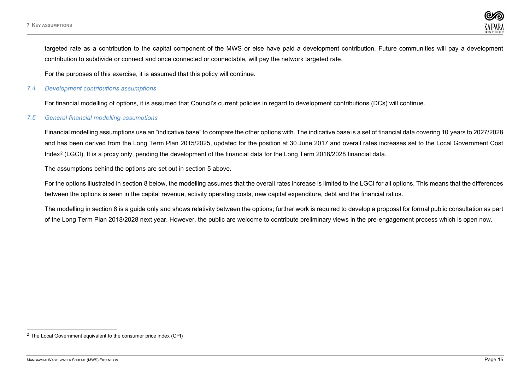<span id="page-17-2"></span>targeted rate as a contribution to the capital component of the MWS or else have paid a development contribution. Future communities will pay a development contribution to subdivide or connect and once connected or connectable, will pay the network targeted rate.

For the purposes of this exercise, it is assumed that this policy will continue.

#### <span id="page-17-0"></span>*7.4 Development contributions assumptions*

For financial modelling of options, it is assumed that Council's current policies in regard to development contributions (DCs) will continue.

# <span id="page-17-1"></span>*7.5 General financial modelling assumptions*

Financial modelling assumptions use an "indicative base" to compare the other options with. The indicative base is a set of financial data covering 10 years to 2027/2028 and has been derived from the Long Term Plan 2015/2025, updated for the position at 30 June 2017 and overall rates increases set to the Local Government Cost Index[2](#page-17-2) (LGCI). It is a proxy only, pending the development of the financial data for the Long Term 2018/2028 financial data.

The assumptions behind the options are set out in section 5 above.

For the options illustrated in section 8 below, the modelling assumes that the overall rates increase is limited to the LGCI for all options. This means that the differences between the options is seen in the capital revenue, activity operating costs, new capital expenditure, debt and the financial ratios.

The modelling in section 8 is a guide only and shows relativity between the options; further work is required to develop a proposal for formal public consultation as part of the Long Term Plan 2018/2028 next year. However, the public are welcome to contribute preliminary views in the pre-engagement process which is open now.

 $2$  The Local Government equivalent to the consumer price index (CPI)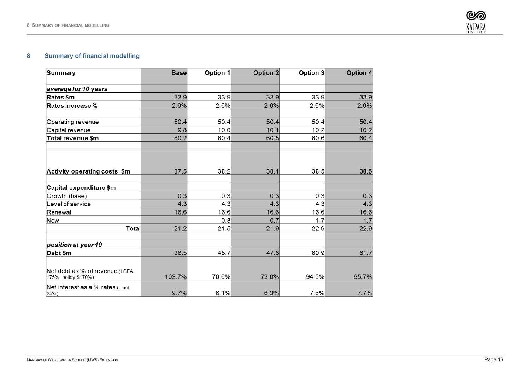

# <span id="page-18-0"></span>**Summary of financial modelling**

| <b>Summary</b>                                         | <b>Base</b> | Option 1 | Option 2 | Option 3 | Option 4 |
|--------------------------------------------------------|-------------|----------|----------|----------|----------|
|                                                        |             |          |          |          |          |
| average for 10 years                                   |             |          |          |          |          |
| Rates \$m                                              | 33.9        | 33.9     | 33.9     | 33.9     | 33.9     |
| Rates increase %                                       | 2.6%        | 2.6%     | 2.6%     | 2.6%     | 2.6%     |
|                                                        |             |          |          |          |          |
| Operating revenue                                      | 50.4        | 50.4     | 50.4     | 50.4     | 50.4     |
| Capital revenue                                        | 9.8         | 10.0     | 10.1     | 10.2     | 10.2     |
| Total revenue \$m                                      | 60.2        | 60.4     | 60.5     | 60.6     | 60.4     |
|                                                        |             |          |          |          |          |
| Activity operating costs \$m                           | 37.5        | 38.2     | 38.1     | 38.5     | 38.5     |
| Capital expenditure \$m                                |             |          |          |          |          |
| Growth (base)                                          | 0.3         | 0.3      | 0.3      | 0.3      | 0.3      |
| Level of service                                       | 4.3         | 4.3      | 4.3      | 4.3      | 4.3      |
| Renewal                                                | 16.6        | 16.6     | 16.6     | 16.6     | 16.6     |
| New                                                    |             | 0.3      | 0.7      | 1.7      | 1.7      |
| <b>Total</b>                                           | 21.2        | 21.5     | 21.9     | 22.9     | 22.9     |
| position at year 10                                    |             |          |          |          |          |
| Debt \$m                                               | 36.5        | 45.7     | 47.6     | 60.9     | 61.7     |
|                                                        |             |          |          |          |          |
| Net debt as % of revenue (LGFA<br>175%, policy \$170%) | 103.7%      | 70.6%    | 73.6%    | 94.5%    | 95.7%    |
| Net interest as a % rates (Limit<br>25%)               | 9.7%        | 6.1%     | 6.3%     | 7.6%     | 7.7%     |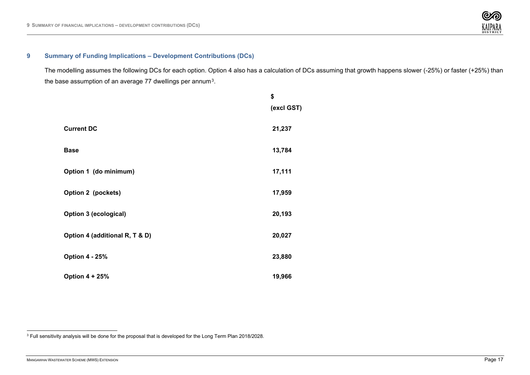<span id="page-19-1"></span>

# <span id="page-19-0"></span>**9 Summary of Funding Implications – Development Contributions (DCs)**

The modelling assumes the following DCs for each option. Option 4 also has a calculation of DCs assuming that growth happens slower (-25%) or faster (+25%) than the base assumption of an average 77 dwellings per annum<sup>3</sup>.

|                                | \$<br>(excl GST) |
|--------------------------------|------------------|
| <b>Current DC</b>              | 21,237           |
| <b>Base</b>                    | 13,784           |
| Option 1 (do minimum)          | 17,111           |
| Option 2 (pockets)             | 17,959           |
| Option 3 (ecological)          | 20,193           |
| Option 4 (additional R, T & D) | 20,027           |
| <b>Option 4 - 25%</b>          | 23,880           |
| <b>Option 4 + 25%</b>          | 19,966           |

<sup>3</sup> Full sensitivity analysis will be done for the proposal that is developed for the Long Term Plan 2018/2028.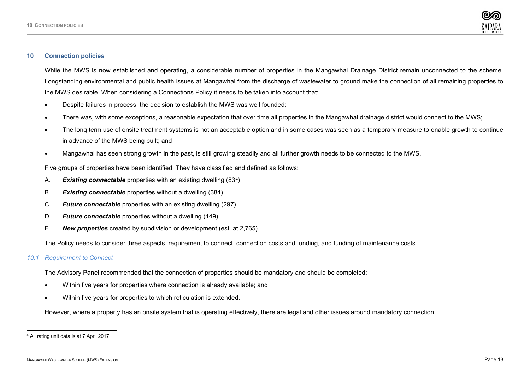<span id="page-20-2"></span>

#### <span id="page-20-0"></span>**10 Connection policies**

While the MWS is now established and operating, a considerable number of properties in the Mangawhai Drainage District remain unconnected to the scheme. Longstanding environmental and public health issues at Mangawhai from the discharge of wastewater to ground make the connection of all remaining properties to the MWS desirable. When considering a Connections Policy it needs to be taken into account that:

- Despite failures in process, the decision to establish the MWS was well founded;
- There was, with some exceptions, a reasonable expectation that over time all properties in the Mangawhai drainage district would connect to the MWS;
- The long term use of onsite treatment systems is not an acceptable option and in some cases was seen as a temporary measure to enable growth to continue in advance of the MWS being built; and
- Mangawhai has seen strong growth in the past, is still growing steadily and all further growth needs to be connected to the MWS.

Five groups of properties have been identified. They have classified and defined as follows:

- A. *Existing connectable* properties with an existing dwelling (83[4\)](#page-20-2)
- B. *Existing connectable* properties without a dwelling (384)
- C. *Future connectable* properties with an existing dwelling (297)
- D. *Future connectable* properties without a dwelling (149)
- E. *New properties* created by subdivision or development (est. at 2,765).

The Policy needs to consider three aspects, requirement to connect, connection costs and funding, and funding of maintenance costs.

<span id="page-20-1"></span>*10.1 Requirement to Connect*

The Advisory Panel recommended that the connection of properties should be mandatory and should be completed:

- Within five years for properties where connection is already available; and
- Within five years for properties to which reticulation is extended.

However, where a property has an onsite system that is operating effectively, there are legal and other issues around mandatory connection.

<sup>4</sup> All rating unit data is at 7 April 2017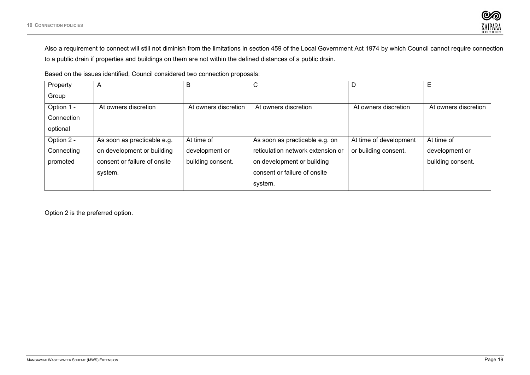

Also a requirement to connect will still not diminish from the limitations in section 459 of the Local Government Act 1974 by which Council cannot require connection to a public drain if properties and buildings on them are not within the defined distances of a public drain.

Based on the issues identified, Council considered two connection proposals:

| Property   | A                            | в                    | C                                 | D                      | Е                    |
|------------|------------------------------|----------------------|-----------------------------------|------------------------|----------------------|
| Group      |                              |                      |                                   |                        |                      |
| Option 1 - | At owners discretion         | At owners discretion | At owners discretion              | At owners discretion   | At owners discretion |
| Connection |                              |                      |                                   |                        |                      |
| optional   |                              |                      |                                   |                        |                      |
| Option 2 - | As soon as practicable e.g.  | At time of           | As soon as practicable e.g. on    | At time of development | At time of           |
| Connecting | on development or building   | development or       | reticulation network extension or | or building consent.   | development or       |
| promoted   | consent or failure of onsite | building consent.    | on development or building        |                        | building consent.    |
|            | system.                      |                      | consent or failure of onsite      |                        |                      |
|            |                              |                      | system.                           |                        |                      |

Option 2 is the preferred option.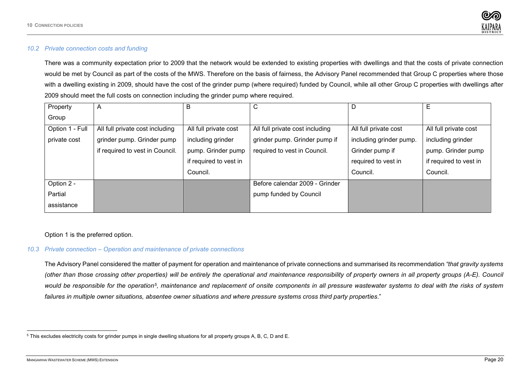<span id="page-22-2"></span>

# <span id="page-22-0"></span>*10.2 Private connection costs and funding*

There was a community expectation prior to 2009 that the network would be extended to existing properties with dwellings and that the costs of private connection would be met by Council as part of the costs of the MWS. Therefore on the basis of fairness, the Advisory Panel recommended that Group C properties where those with a dwelling existing in 2009, should have the cost of the grinder pump (where required) funded by Council, while all other Group C properties with dwellings after 2009 should meet the full costs on connection including the grinder pump where required.

| Property        | A                               | В                      | С                               | D                       | Ε                      |
|-----------------|---------------------------------|------------------------|---------------------------------|-------------------------|------------------------|
| Group           |                                 |                        |                                 |                         |                        |
| Option 1 - Full | All full private cost including | All full private cost  | All full private cost including | All full private cost   | All full private cost  |
| private cost    | grinder pump. Grinder pump      | including grinder      | grinder pump. Grinder pump if   | including grinder pump. | including grinder      |
|                 | if required to vest in Council. | pump. Grinder pump     | required to vest in Council.    | Grinder pump if         | pump. Grinder pump     |
|                 |                                 | if required to vest in |                                 | required to vest in     | if required to vest in |
|                 |                                 | Council.               |                                 | Council.                | Council.               |
| Option 2 -      |                                 |                        | Before calendar 2009 - Grinder  |                         |                        |
| Partial         |                                 |                        | pump funded by Council          |                         |                        |
| assistance      |                                 |                        |                                 |                         |                        |

Option 1 is the preferred option.

#### <span id="page-22-1"></span>*10.3 Private connection – Operation and maintenance of private connections*

The Advisory Panel considered the matter of payment for operation and maintenance of private connections and summarised its recommendation *"that gravity systems (other than those crossing other properties) will be entirely the operational and maintenance responsibility of property owners in all property groups (A-E). Council would be responsible for the operation[5](#page-22-2), maintenance and replacement of onsite components in all pressure wastewater systems to deal with the risks of system failures in multiple owner situations, absentee owner situations and where pressure systems cross third party properties*."

<sup>5</sup> This excludes electricity costs for grinder pumps in single dwelling situations for all property groups A, B, C, D and E.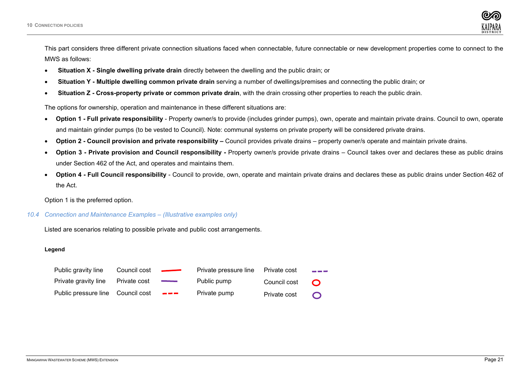

This part considers three different private connection situations faced when connectable, future connectable or new development properties come to connect to the MWS as follows:

- **Situation X - Single dwelling private drain** directly between the dwelling and the public drain; or
- **Situation Y - Multiple dwelling common private drain** serving a number of dwellings/premises and connecting the public drain; or
- **Situation Z - Cross-property private or common private drain**, with the drain crossing other properties to reach the public drain.

The options for ownership, operation and maintenance in these different situations are:

- **Option 1 - Full private responsibility**  Property owner/s to provide (includes grinder pumps), own, operate and maintain private drains. Council to own, operate and maintain grinder pumps (to be vested to Council). Note: communal systems on private property will be considered private drains.
- **Option 2 - Council provision and private responsibility –** Council provides private drains property owner/s operate and maintain private drains.
- **Option 3 - Private provision and Council responsibility -** Property owner/s provide private drains Council takes over and declares these as public drains under Section 462 of the Act, and operates and maintains them.
- **Option 4 - Full Council responsibility** Council to provide, own, operate and maintain private drains and declares these as public drains under Section 462 of the Act.

Option 1 is the preferred option.

# <span id="page-23-0"></span>*10.4 Connection and Maintenance Examples – (Illustrative examples only)*

Listed are scenarios relating to possible private and public cost arrangements.

#### **Legend**

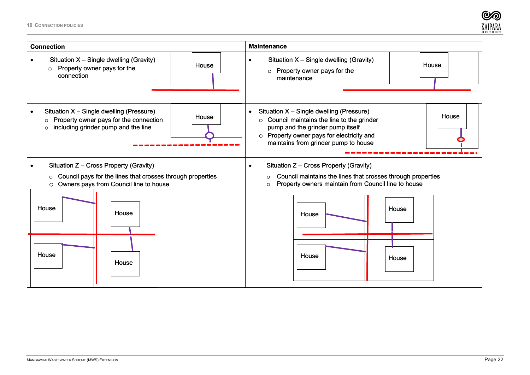**10 CONNECTION POLICIES**



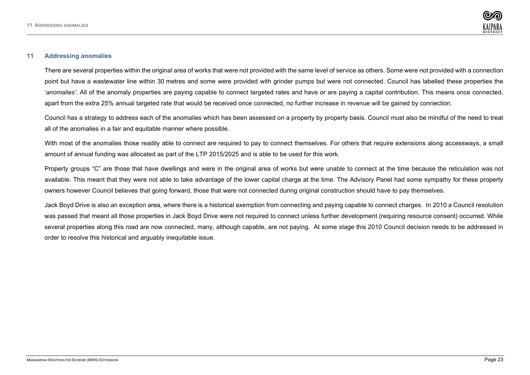

#### <span id="page-25-0"></span>**11 Addressing anomalies**

There are several properties within the original area of works that were not provided with the same level of service as others. Some were not provided with a connection point but have a wastewater line within 30 metres and some were provided with grinder pumps but were not connected. Council has labelled these properties the '*anomalies'.* All of the anomaly properties are paying capable to connect targeted rates and have or are paying a capital contribution. This means once connected, apart from the extra 25% annual targeted rate that would be received once connected, no further increase in revenue will be gained by connection.

Council has a strategy to address each of the anomalies which has been assessed on a property by property basis. Council must also be mindful of the need to treat all of the anomalies in a fair and equitable manner where possible.

With most of the anomalies those readily able to connect are required to pay to connect themselves. For others that require extensions along accessways, a small amount of annual funding was allocated as part of the LTP 2015/2025 and is able to be used for this work.

Property groups "C" are those that have dwellings and were in the original area of works but were unable to connect at the time because the reticulation was not available. This meant that they were not able to take advantage of the lower capital charge at the time. The Advisory Panel had some sympathy for these property owners however Council believes that going forward, those that were not connected during original construction should have to pay themselves.

Jack Boyd Drive is also an exception area, where there is a historical exemption from connecting and paying capable to connect charges. In 2010 a Council resolution was passed that meant all those properties in Jack Boyd Drive were not required to connect unless further development (requiring resource consent) occurred. While several properties along this road are now connected, many, although capable, are not paying. At some stage this 2010 Council decision needs to be addressed in order to resolve this historical and arguably inequitable issue.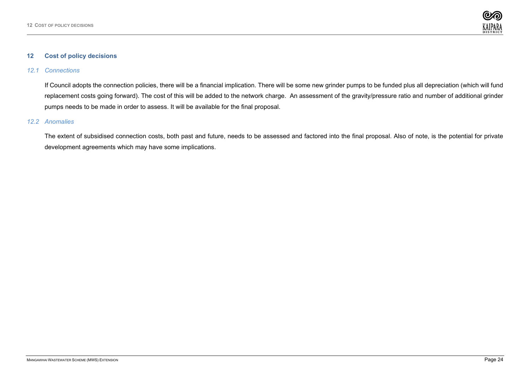

#### <span id="page-26-0"></span>**12 Cost of policy decisions**

# <span id="page-26-1"></span>*12.1 Connections*

If Council adopts the connection policies, there will be a financial implication. There will be some new grinder pumps to be funded plus all depreciation (which will fund replacement costs going forward). The cost of this will be added to the network charge. An assessment of the gravity/pressure ratio and number of additional grinder pumps needs to be made in order to assess. It will be available for the final proposal.

# <span id="page-26-2"></span>*12.2 Anomalies*

The extent of subsidised connection costs, both past and future, needs to be assessed and factored into the final proposal. Also of note, is the potential for private development agreements which may have some implications.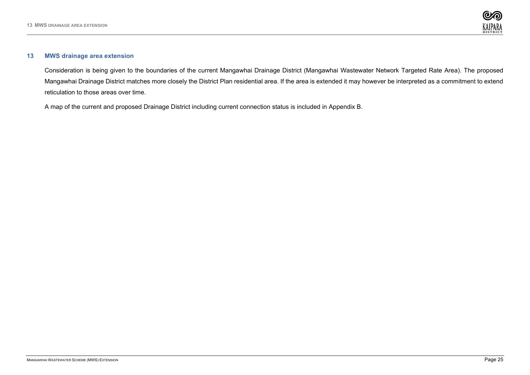

#### <span id="page-27-0"></span>**13 MWS drainage area extension**

Consideration is being given to the boundaries of the current Mangawhai Drainage District (Mangawhai Wastewater Network Targeted Rate Area). The proposed Mangawhai Drainage District matches more closely the District Plan residential area. If the area is extended it may however be interpreted as a commitment to extend reticulation to those areas over time.

A map of the current and proposed Drainage District including current connection status is included in Appendix B.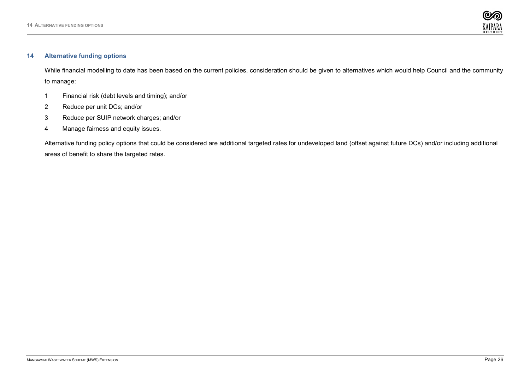

#### <span id="page-28-0"></span>**14 Alternative funding options**

While financial modelling to date has been based on the current policies, consideration should be given to alternatives which would help Council and the community to manage:

- 1 Financial risk (debt levels and timing); and/or
- 2 Reduce per unit DCs; and/or
- 3 Reduce per SUIP network charges; and/or
- 4 Manage fairness and equity issues.

Alternative funding policy options that could be considered are additional targeted rates for undeveloped land (offset against future DCs) and/or including additional areas of benefit to share the targeted rates.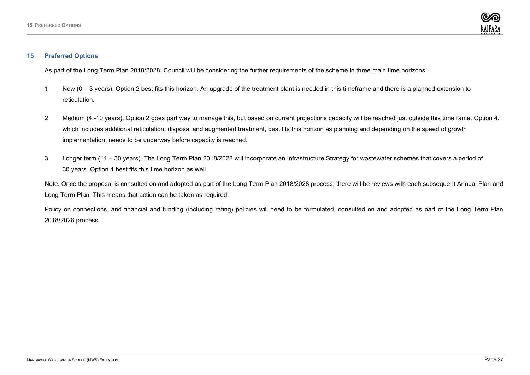

#### <span id="page-29-0"></span>**15 Preferred Options**

As part of the Long Term Plan 2018/2028, Council will be considering the further requirements of the scheme in three main time horizons:

- 1 Now (0 3 years). Option 2 best fits this horizon. An upgrade of the treatment plant is needed in this timeframe and there is a planned extension to reticulation.
- 2 Medium (4 -10 years). Option 2 goes part way to manage this, but based on current projections capacity will be reached just outside this timeframe. Option 4, which includes additional reticulation, disposal and augmented treatment, best fits this horizon as planning and depending on the speed of growth implementation, needs to be underway before capacity is reached.
- 3 Longer term (11 30 years). The Long Term Plan 2018/2028 will incorporate an Infrastructure Strategy for wastewater schemes that covers a period of 30 years. Option 4 best fits this time horizon as well.

Note: Once the proposal is consulted on and adopted as part of the Long Term Plan 2018/2028 process, there will be reviews with each subsequent Annual Plan and Long Term Plan. This means that action can be taken as required.

Policy on connections, and financial and funding (including rating) policies will need to be formulated, consulted on and adopted as part of the Long Term Plan 2018/2028 process.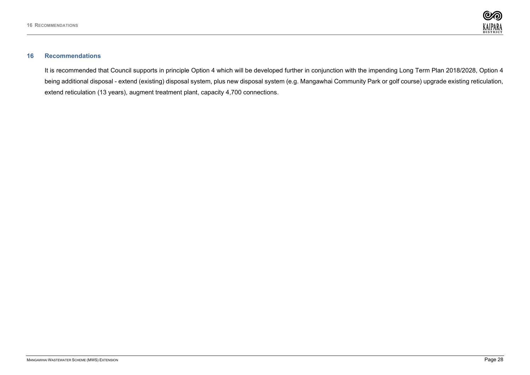

# <span id="page-30-0"></span>**16 Recommendations**

It is recommended that Council supports in principle Option 4 which will be developed further in conjunction with the impending Long Term Plan 2018/2028, Option 4 being additional disposal - extend (existing) disposal system, plus new disposal system (e.g. Mangawhai Community Park or golf course) upgrade existing reticulation, extend reticulation (13 years), augment treatment plant, capacity 4,700 connections.